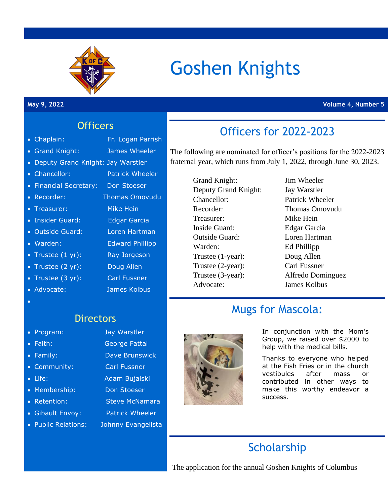

# Goshen Knights

#### **May 9, 2022 Volume 4, Number 5**

#### **Officers**

• Chaplain: Fr. Logan Parrish

- 
- 
- 
- 
- 
- 
- 
- Outside Guard: Loren Hartman
- Warden: Edward Phillipp
- 
- 
- 
- •

### **Directors**

- Program: Jay Warstler
- 
- 
- 
- 
- Membership: Don Stoeser
- 
- 
- Public Relations: Johnny Evangelista
- Grand Knight: James Wheeler
- Deputy Grand Knight: Jay Warstler
- Chancellor: Patrick Wheeler
- Financial Secretary: Don Stoeser
- Recorder: Thomas Omovudu
- Treasurer: Mike Hein
- Insider Guard: Edgar Garcia
- 
- 
- Trustee (1 yr): Ray Jorgeson
- Trustee (2 yr): Doug Allen
- Trustee (3 yr): Carl Fussner
- Advocate: James Kolbus
- 

- Faith: George Fattal
- Family: Dave Brunswick
- Community: Carl Fussner
- Life: Adam Bujalski
	-
	-
- Retention: Steve McNamara
- Gibault Envoy: Patrick Wheeler
	-



# Officers for 2022-2023

The following are nominated for officer's positions for the 2022-2023 fraternal year, which runs from July 1, 2022, through June 30, 2023.

> Grand Knight: Jim Wheeler Deputy Grand Knight: Jay Warstler Chancellor: Patrick Wheeler Recorder: Thomas Omovudu Treasurer: Mike Hein Inside Guard: Edgar Garcia Outside Guard: Loren Hartman Warden: Ed Phillipp Trustee (1-year): Doug Allen Trustee (2-year): Carl Fussner Trustee (3-year): Alfredo Dominguez Advocate: James Kolbus

# Mugs for Mascola:

In conjunction with the Mom's Group, we raised over \$2000 to help with the medical bills.

Thanks to everyone who helped at the Fish Fries or in the church vestibules after mass or contributed in other ways to make this worthy endeavor a success.

# **Scholarship**

The application for the annual Goshen Knights of Columbus